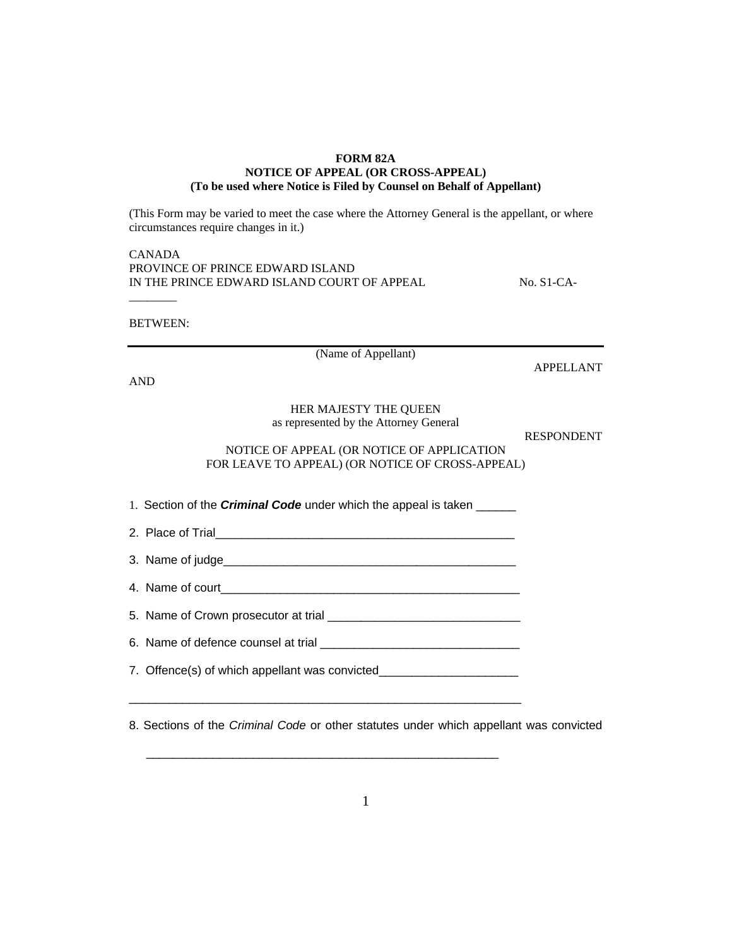## **FORM 82A NOTICE OF APPEAL (OR CROSS-APPEAL) (To be used where Notice is Filed by Counsel on Behalf of Appellant)**

(This Form may be varied to meet the case where the Attorney General is the appellant, or where circumstances require changes in it.)

| CANADA                                      |
|---------------------------------------------|
| PROVINCE OF PRINCE EDWARD ISLAND            |
| IN THE PRINCE EDWARD ISLAND COURT OF APPEAL |

 $No. S1-CA-$ 

BETWEEN:

\_\_\_\_\_\_\_\_

(Name of Appellant)

APPELLANT

AND

## HER MAJESTY THE QUEEN

as represented by the Attorney General

RESPONDENT

## NOTICE OF APPEAL (OR NOTICE OF APPLICATION FOR LEAVE TO APPEAL) (OR NOTICE OF CROSS-APPEAL)

1. Section of the *Criminal Code* under which the appeal is taken \_\_\_\_\_\_

|  | 2. Place of Trial |  |  |
|--|-------------------|--|--|

3. Name of judge\_\_\_\_\_\_\_\_\_\_\_\_\_\_\_\_\_\_\_\_\_\_\_\_\_\_\_\_\_\_\_\_\_\_\_\_\_\_\_\_\_\_\_\_

4. Name of court

5. Name of Crown prosecutor at trial \_\_\_\_\_\_\_\_\_\_\_\_\_\_\_\_\_\_\_\_\_\_\_\_\_\_\_\_\_

6. Name of defence counsel at trial \_\_\_\_\_\_\_\_\_\_\_\_\_\_\_\_\_\_\_\_\_\_\_\_\_\_\_\_\_\_

7. Offence(s) of which appellant was convicted\_\_\_\_\_\_\_\_\_\_\_\_\_\_\_\_\_\_\_\_\_\_\_\_\_\_\_\_\_\_\_\_\_\_

\_\_\_\_\_\_\_\_\_\_\_\_\_\_\_\_\_\_\_\_\_\_\_\_\_\_\_\_\_\_\_\_\_\_\_\_\_\_\_\_\_\_\_\_\_\_\_\_\_\_\_\_\_\_\_\_\_\_\_

\_\_\_\_\_\_\_\_\_\_\_\_\_\_\_\_\_\_\_\_\_\_\_\_\_\_\_\_\_\_\_\_\_\_\_\_\_\_\_\_\_\_\_\_\_\_\_\_\_\_\_\_\_

8. Sections of the *Criminal Code* or other statutes under which appellant was convicted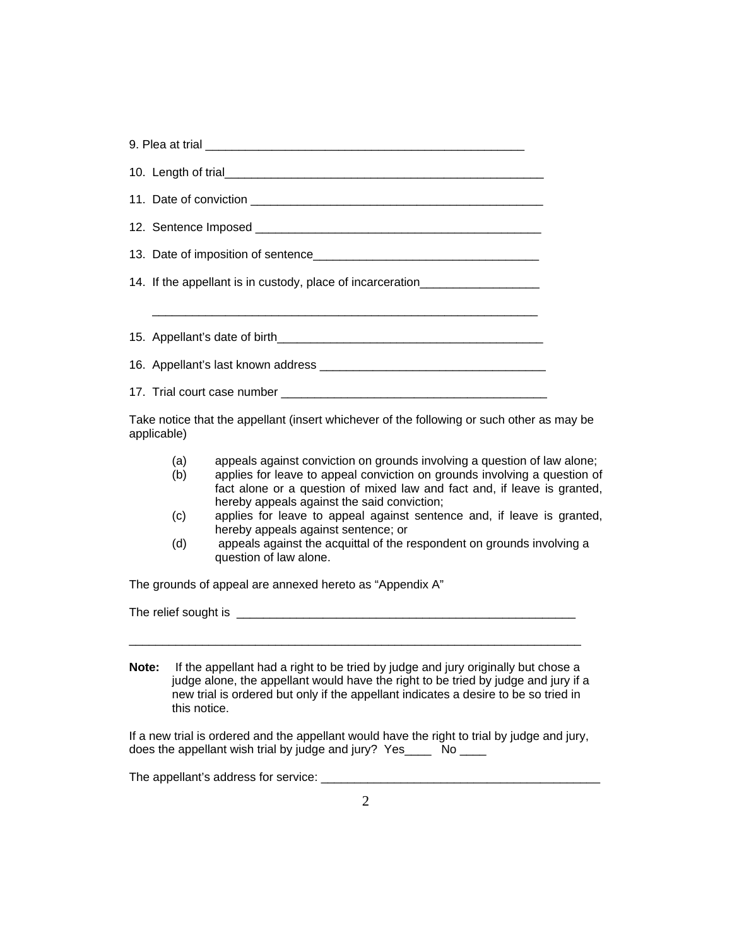|             | 14. If the appellant is in custody, place of incarceration______________________                                                                                                                                                                                                               |  |  |  |  |  |
|-------------|------------------------------------------------------------------------------------------------------------------------------------------------------------------------------------------------------------------------------------------------------------------------------------------------|--|--|--|--|--|
|             |                                                                                                                                                                                                                                                                                                |  |  |  |  |  |
|             |                                                                                                                                                                                                                                                                                                |  |  |  |  |  |
|             |                                                                                                                                                                                                                                                                                                |  |  |  |  |  |
|             |                                                                                                                                                                                                                                                                                                |  |  |  |  |  |
| applicable) | Take notice that the appellant (insert whichever of the following or such other as may be                                                                                                                                                                                                      |  |  |  |  |  |
|             | appeals against conviction on grounds involving a question of law alone;<br>(a)<br>applies for leave to appeal conviction on grounds involving a question of<br>(b)<br>fact alone or a question of mixed law and fact and, if leave is granted,<br>hereby appeals against the said conviction; |  |  |  |  |  |
|             | applies for leave to appeal against sentence and, if leave is granted,<br>(c)<br>hereby appeals against sentence; or                                                                                                                                                                           |  |  |  |  |  |
|             | appeals against the acquittal of the respondent on grounds involving a<br>(d)<br>question of law alone.                                                                                                                                                                                        |  |  |  |  |  |
|             | The grounds of appeal are annexed hereto as "Appendix A"                                                                                                                                                                                                                                       |  |  |  |  |  |
|             |                                                                                                                                                                                                                                                                                                |  |  |  |  |  |
|             |                                                                                                                                                                                                                                                                                                |  |  |  |  |  |
| Note:       | If the appellant had a right to be tried by judge and jury originally but chose a<br>judge alone, the appellant would have the right to be tried by judge and jury if a<br>new trial is ordered but only if the appellant indicates a desire to be so tried in<br>this notice.                 |  |  |  |  |  |
|             | If a new trial is ordered and the appellant would have the right to trial by judge and jury,<br>does the appellant wish trial by judge and jury? Yes _____ No ____                                                                                                                             |  |  |  |  |  |
|             |                                                                                                                                                                                                                                                                                                |  |  |  |  |  |
|             |                                                                                                                                                                                                                                                                                                |  |  |  |  |  |